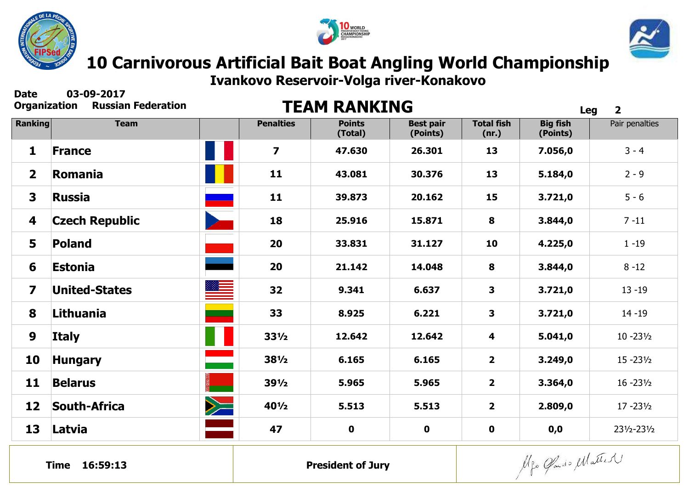





**Ivankovo Reservoir-Volga river-Konakovo**

**Date 03-09-2017**

## **Russian Federation <b>CORGANIZACION RANKING**

| Viyamzativni            | <b>NUSSIGII I CUCI GLIVII</b> |                            |                  | I EAM RANNING            |                              |                            | <b>Leg</b>                  | $\overline{\mathbf{2}}$ |  |
|-------------------------|-------------------------------|----------------------------|------------------|--------------------------|------------------------------|----------------------------|-----------------------------|-------------------------|--|
| <b>Ranking</b>          | <b>Team</b>                   |                            | <b>Penalties</b> | <b>Points</b><br>(Total) | <b>Best pair</b><br>(Points) | <b>Total fish</b><br>(nr.) | <b>Big fish</b><br>(Points) | Pair penalties          |  |
| $\mathbf{1}$            | <b>France</b>                 |                            | $\overline{7}$   | 47.630                   | 26.301                       | 13                         | 7.056,0                     | $3 - 4$                 |  |
| $\overline{2}$          | Romania                       |                            | 11               | 43.081                   | 30.376                       | 13                         | 5.184,0                     | $2 - 9$                 |  |
| $\overline{\mathbf{3}}$ | <b>Russia</b>                 |                            | 11               | 39.873                   | 20.162                       | 15                         | 3.721,0                     | $5 - 6$                 |  |
| 4                       | <b>Czech Republic</b>         |                            | 18               | 25.916                   | 15.871                       | 8                          | 3.844,0                     | $7 - 11$                |  |
| 5                       | <b>Poland</b>                 |                            | 20               | 33.831                   | 31.127                       | 10                         | 4.225,0                     | $1 - 19$                |  |
| 6                       | <b>Estonia</b>                |                            | 20               | 21.142                   | 14.048                       | 8                          | 3.844,0                     | $8 - 12$                |  |
| $\overline{\mathbf{z}}$ | <b>United-States</b>          |                            | 32               | 9.341                    | 6.637                        | 3                          | 3.721,0                     | $13 - 19$               |  |
| 8                       | Lithuania                     | $\mathcal{L}(\mathcal{L})$ | 33               | 8.925                    | 6.221                        | $\mathbf{3}$               | 3.721,0                     | $14 - 19$               |  |
| 9                       | <b>Italy</b>                  |                            | $33\frac{1}{2}$  | 12.642                   | 12.642                       | 4                          | 5.041,0                     | $10 - 23\frac{1}{2}$    |  |
| 10                      | <b>Hungary</b>                |                            | $38\frac{1}{2}$  | 6.165                    | 6.165                        | 2 <sup>1</sup>             | 3.249,0                     | $15 - 23\frac{1}{2}$    |  |
| 11                      | <b>Belarus</b>                |                            | $39\frac{1}{2}$  | 5.965                    | 5.965                        | $\overline{2}$             | 3.364,0                     | $16 - 23\frac{1}{2}$    |  |
| 12                      | <b>South-Africa</b>           | $\geq$                     | 401/2            | 5.513                    | 5.513                        | 2 <sup>1</sup>             | 2.809,0                     | $17 - 23\frac{1}{2}$    |  |
| 13                      | Latvia                        |                            | 47               | $\mathbf 0$              | $\mathbf 0$                  | $\mathbf 0$                | 0, 0                        | 231/2-231/2             |  |
|                         |                               |                            |                  |                          |                              |                            |                             |                         |  |

Alfo Gado Matter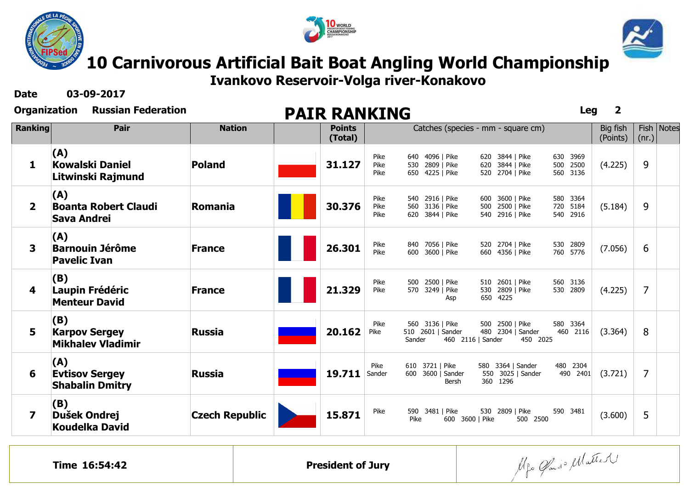





**10 Carnivorous Artificial Bait Boat Angling World Championship** 

**Ivankovo Reservoir-Volga river-Konakovo**

**Date 03-09-2017**

| Organization   | <b>Russian Federation</b>                               |                       | <b>PAIR RANKING</b> |                          |                      |                                                           |                 |                                                       | <b>Leg</b>                          | $\overline{2}$       |                 |              |
|----------------|---------------------------------------------------------|-----------------------|---------------------|--------------------------|----------------------|-----------------------------------------------------------|-----------------|-------------------------------------------------------|-------------------------------------|----------------------|-----------------|--------------|
| <b>Ranking</b> | Pair                                                    | <b>Nation</b>         |                     | <b>Points</b><br>(Total) |                      | Catches (species - mm - square cm)                        |                 |                                                       |                                     | Big fish<br>(Points) | Fish  <br>(nr.) | <b>Notes</b> |
| 1              | (A)<br><b>Kowalski Daniel</b><br>Litwinski Rajmund      | <b>Poland</b>         |                     | 31.127                   | Pike<br>Pike<br>Pike | 640 4096   Pike<br>530 2809   Pike<br>650 4225   Pike     |                 | 620 3844   Pike<br>620 3844   Pike<br>520 2704   Pike | 630 3969<br>2500<br>500<br>560 3136 | (4.225)              | 9               |              |
| $\mathbf{2}$   | (A)<br><b>Boanta Robert Claudi</b><br>Sava Andrei       | <b>Romania</b>        |                     | 30.376                   | Pike<br>Pike<br>Pike | 540 2916   Pike<br>560 3136   Pike<br>620 3844   Pike     |                 | 600 3600   Pike<br>500 2500   Pike<br>540 2916   Pike | 580 3364<br>720<br>5184<br>540 2916 | (5.184)              | 9               |              |
| 3              | (A)<br><b>Barnouin Jérôme</b><br><b>Pavelic Ivan</b>    | <b>France</b>         |                     | 26.301                   | Pike<br>Pike         | 840 7056   Pike<br>600 3600   Pike                        |                 | 520 2704   Pike<br>660 4356   Pike                    | 530 2809<br>760 5776                | (7.056)              | 6               |              |
| 4              | (B)<br>Laupin Frédéric<br><b>Menteur David</b>          | <b>France</b>         |                     | 21.329                   | Pike<br>Pike<br>570  | 500 2500   Pike<br>3249   Pike<br>Asp                     | 530<br>650 4225 | 510 2601   Pike<br>2809   Pike                        | 560 3136<br>530 2809                | (4.225)              | $\overline{7}$  |              |
| 5              | (B)<br><b>Karpov Sergey</b><br><b>Mikhalev Vladimir</b> | <b>Russia</b>         |                     | 20.162<br>Pike           | Pike<br>Sander       | 560 3136   Pike<br>510 2601   Sander<br>460 2116   Sander |                 | 500 2500   Pike<br>480 2304   Sander<br>450 2025      | 580 3364<br>460 2116                | (3.364)              | 8               |              |
| 6              | (A)<br><b>Evtisov Sergey</b><br><b>Shabalin Dmitry</b>  | <b>Russia</b>         |                     | 19.711<br>Sander         | Pike                 | 610 3721   Pike<br>600 3600   Sander<br>Bersh             | 360 1296        | 580 3364   Sander<br>550 3025   Sander                | 480 2304<br>490 2401                | (3.721)              | $\overline{7}$  |              |
| 7              | (B)<br>Dušek Ondrej<br><b>Koudelka David</b>            | <b>Czech Republic</b> |                     | 15.871                   | Pike<br>Pike         | 590 3481   Pike<br>600 3600   Pike                        |                 | 530 2809   Pike<br>500 2500                           | 590 3481                            | (3.600)              | 5               |              |

Alfo Gland Matter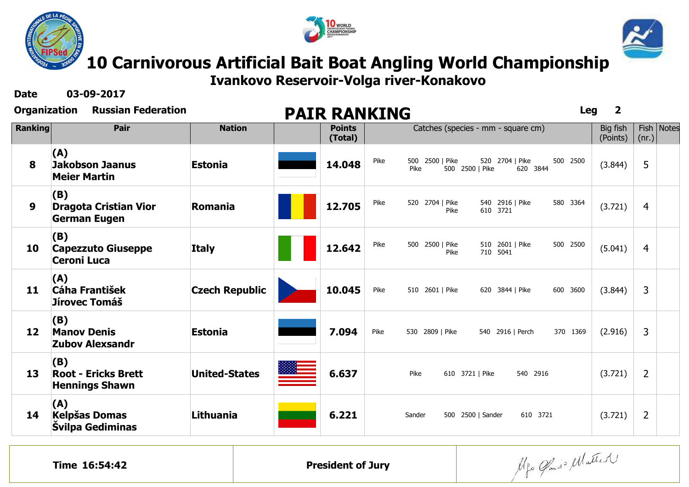





**Ivankovo Reservoir-Volga river-Konakovo**

**Date 03-09-2017**

| <b>Organization</b> | <b>Russian Federation</b> |
|---------------------|---------------------------|
|                     |                           |

| Organization   | <b>Russian Federation</b>                                  |                       | <b>PAIR RANKING</b>      |      |                                            |                                    | <b>Leg</b> | $\overline{\mathbf{2}}$ |                |              |
|----------------|------------------------------------------------------------|-----------------------|--------------------------|------|--------------------------------------------|------------------------------------|------------|-------------------------|----------------|--------------|
| <b>Ranking</b> | Pair                                                       | <b>Nation</b>         | <b>Points</b><br>(Total) |      |                                            | Catches (species - mm - square cm) |            | Big fish<br>(Points)    | (nr.)          | Fish   Notes |
| 8              | (A)<br>Jakobson Jaanus<br><b>Meier Martin</b>              | <b>Estonia</b>        | 14.048                   | Pike | 500 2500   Pike<br>Pike<br>500 2500   Pike | 520 2704   Pike<br>620 3844        | 500 2500   | (3.844)                 | 5              |              |
| 9              | (B)<br><b>Dragota Cristian Vior</b><br><b>German Eugen</b> | Romania               | 12.705                   | Pike | 520 2704   Pike<br>Pike                    | 540 2916   Pike<br>610 3721        | 580 3364   | (3.721)                 | $\overline{4}$ |              |
| 10             | (B)<br><b>Capezzuto Giuseppe</b><br><b>Ceroni Luca</b>     | <b>Italy</b>          | 12.642                   | Pike | 500 2500   Pike<br>Pike                    | 510 2601   Pike<br>710 5041        | 500 2500   | (5.041)                 | $\overline{4}$ |              |
| 11             | (A)<br><b>Cáha František</b><br>Jírovec Tomáš              | <b>Czech Republic</b> | 10.045                   | Pike | 510 2601   Pike                            | 620 3844   Pike                    | 600 3600   | (3.844)                 | 3              |              |
| 12             | (B)<br><b>Manov Denis</b><br><b>Zubov Alexsandr</b>        | <b>Estonia</b>        | 7.094                    | Pike | 530 2809   Pike                            | 540 2916   Perch                   | 370 1369   | (2.916)                 | 3              |              |
| 13             | (B)<br><b>Root - Ericks Brett</b><br><b>Hennings Shawn</b> | <b>United-States</b>  | 6.637                    |      | Pike<br>610 3721   Pike                    | 540 2916                           |            | (3.721)                 | $\overline{2}$ |              |
| 14             | (A)<br><b>Kelpšas Domas</b><br>Švilpa Gediminas            | <b>Lithuania</b>      | 6.221                    |      | Sander                                     | 610 3721<br>500 2500   Sander      |            | (3.721)                 | $\overline{2}$ |              |

Alfo Glando Matter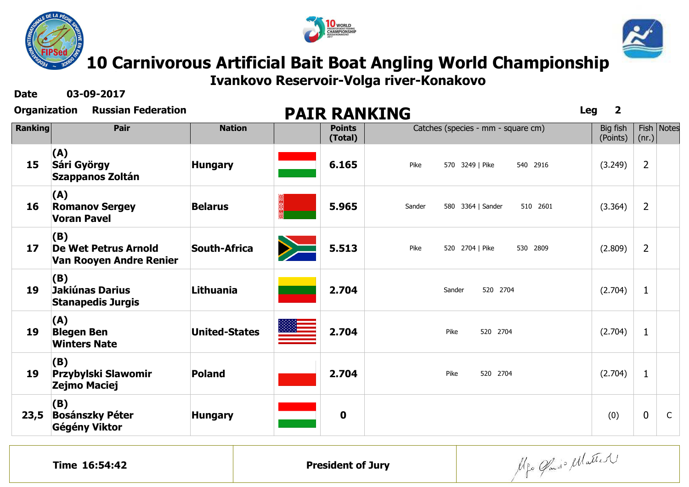





**Ivankovo Reservoir-Volga river-Konakovo**

**Date 03-09-2017**

| <b>Organization</b> | <b>Russian Federation</b>                                     |                      |                          | <b>PAIR RANKING</b>                     | $\overline{\mathbf{2}}$<br><b>Leg</b> |                |              |
|---------------------|---------------------------------------------------------------|----------------------|--------------------------|-----------------------------------------|---------------------------------------|----------------|--------------|
| <b>Ranking</b>      | Pair                                                          | <b>Nation</b>        | <b>Points</b><br>(Total) | Catches (species - mm - square cm)      | Big fish<br>(Points)                  | (nr.)          | Fish   Notes |
| 15                  | (A)<br>Sári György<br>Szappanos Zoltán                        | <b>Hungary</b>       | 6.165                    | Pike<br>570 3249   Pike<br>540 2916     | (3.249)                               | $\overline{2}$ |              |
| 16                  | (A)<br><b>Romanov Sergey</b><br><b>Voran Pavel</b>            | <b>Belarus</b>       | 5.965                    | 580 3364   Sander<br>510 2601<br>Sander | (3.364)                               | $\overline{2}$ |              |
| 17                  | (B)<br><b>De Wet Petrus Arnold</b><br>Van Rooyen Andre Renier | <b>South-Africa</b>  | 5.513                    | Pike<br>520 2704   Pike<br>530 2809     | (2.809)                               | $2^{\circ}$    |              |
| 19                  | (B)<br>Jakiúnas Darius<br><b>Stanapedis Jurgis</b>            | Lithuania            | 2.704                    | 520 2704<br>Sander                      | (2.704)                               | $\mathbf{1}$   |              |
| 19                  | (A)<br><b>Blegen Ben</b><br><b>Winters Nate</b>               | <b>United-States</b> | 2.704                    | Pike<br>520 2704                        | (2.704)                               | $\mathbf{1}$   |              |
| 19                  | (B)<br>Przybylski Slawomir<br>Zejmo Maciej                    | <b>Poland</b>        | 2.704                    | Pike<br>520 2704                        | (2.704)                               | $\mathbf{1}$   |              |
| 23,5                | (B)<br><b>Bosánszky Péter</b><br>Gégény Viktor                | <b>Hungary</b>       | $\mathbf 0$              |                                         | (0)                                   | $\mathbf 0$    | $\mathsf{C}$ |
|                     |                                                               |                      |                          |                                         |                                       |                |              |

Alfo Glando Matter